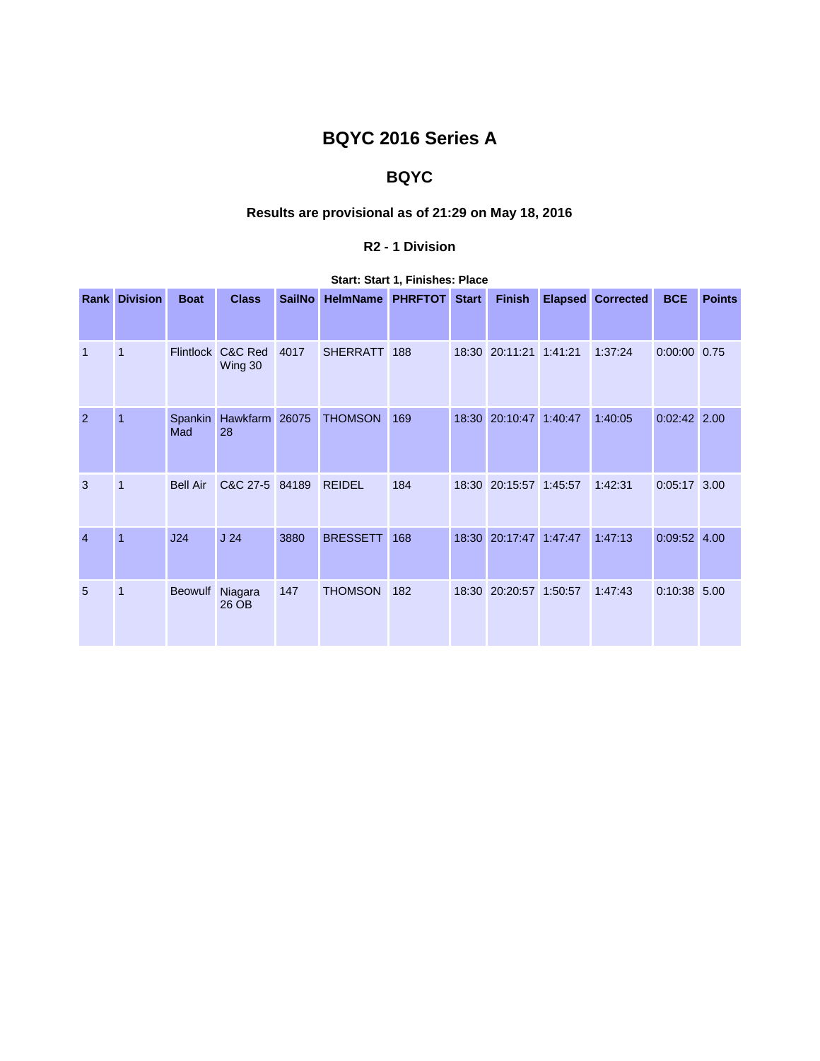# **BQYC 2016 Series A**

## **BQYC**

## **Results are provisional as of 21:29 on May 18, 2016**

### **R2 - 1 Division**

|                | <b>Rank Division</b> | <b>Boat</b>     | <b>Class</b>                 | <b>SailNo</b> | HelmName PHRFTOT Start |     |  | <b>Finish</b>          |         | <b>Elapsed Corrected</b> | <b>BCE</b>     | <b>Points</b> |
|----------------|----------------------|-----------------|------------------------------|---------------|------------------------|-----|--|------------------------|---------|--------------------------|----------------|---------------|
| $\mathbf{1}$   | 1                    |                 | Flintlock C&C Red<br>Wing 30 | 4017          | SHERRATT 188           |     |  | 18:30 20:11:21 1:41:21 |         | 1:37:24                  | $0:00:00$ 0.75 |               |
| 2              | $\overline{1}$       | Spankin<br>Mad  | Hawkfarm 26075<br>28         |               | <b>THOMSON</b>         | 169 |  | 18:30 20:10:47 1:40:47 |         | 1:40:05                  | $0:02:42$ 2.00 |               |
| 3              | 1                    | <b>Bell Air</b> | C&C 27-5 84189               |               | <b>REIDEL</b>          | 184 |  | 18:30 20:15:57 1:45:57 |         | 1:42:31                  | $0:05:17$ 3.00 |               |
| $\overline{4}$ | $\overline{1}$       | J24             | J <sub>24</sub>              | 3880          | <b>BRESSETT</b>        | 168 |  | 18:30 20:17:47         | 1:47:47 | 1:47:13                  | $0:09:52$ 4.00 |               |
| 5              | 1                    | <b>Beowulf</b>  | Niagara<br>26 OB             | 147           | <b>THOMSON</b>         | 182 |  | 18:30 20:20:57 1:50:57 |         | 1:47:43                  | 0:10:38 5.00   |               |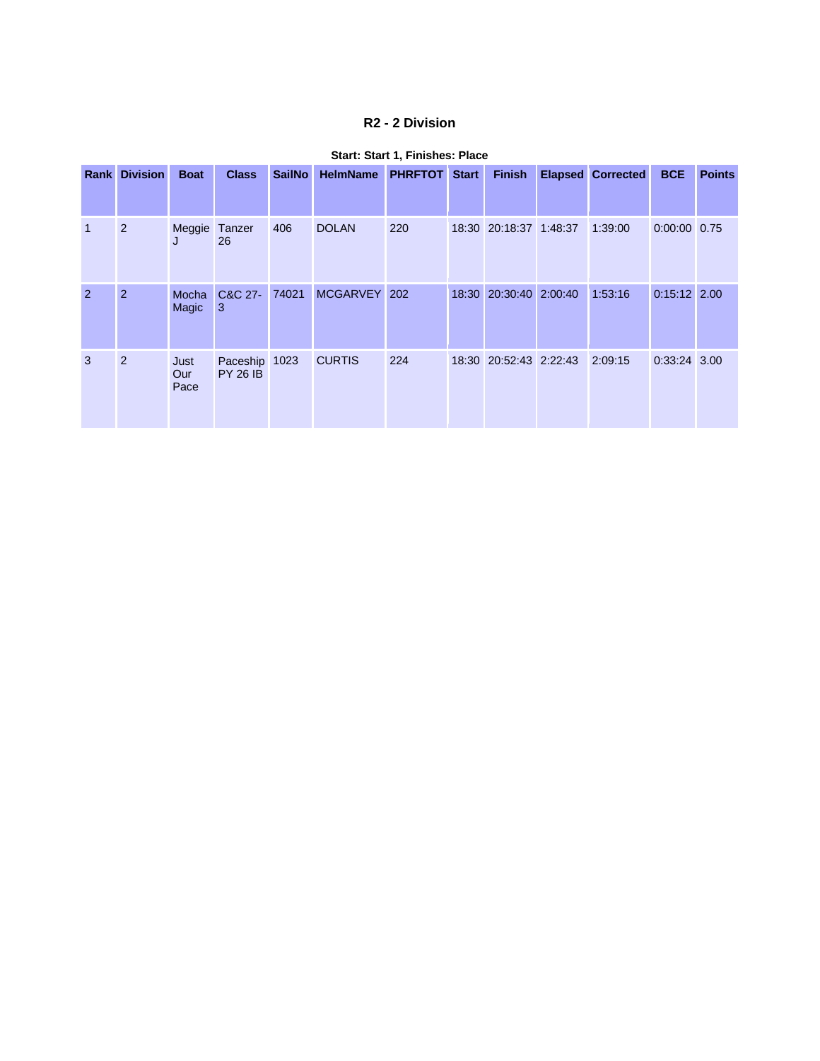### **R2 - 2 Division**

|                | <b>Rank Division</b> | <b>Boat</b>         | <b>Class</b>                     | <b>SailNo</b> | <b>HelmName</b> | <b>PHRFTOT</b> | <b>Start</b> | <b>Finish</b>          | <b>Elapsed Corrected</b> | <b>BCE</b>     | <b>Points</b> |
|----------------|----------------------|---------------------|----------------------------------|---------------|-----------------|----------------|--------------|------------------------|--------------------------|----------------|---------------|
| $\mathbf{1}$   | 2                    | Meggie Tanzer<br>J  | 26                               | 406           | <b>DOLAN</b>    | 220            |              | 18:30 20:18:37 1:48:37 | 1:39:00                  | 0:00:00 0.75   |               |
| $\overline{2}$ | 2                    | Mocha<br>Magic      | C&C 27-<br>3                     | 74021         | MCGARVEY 202    |                |              | 18:30 20:30:40 2:00:40 | 1:53:16                  | $0:15:12$ 2.00 |               |
| 3              | 2                    | Just<br>Our<br>Pace | Paceship 1023<br><b>PY 26 IB</b> |               | <b>CURTIS</b>   | 224            |              | 18:30 20:52:43 2:22:43 | 2:09:15                  | $0:33:24$ 3.00 |               |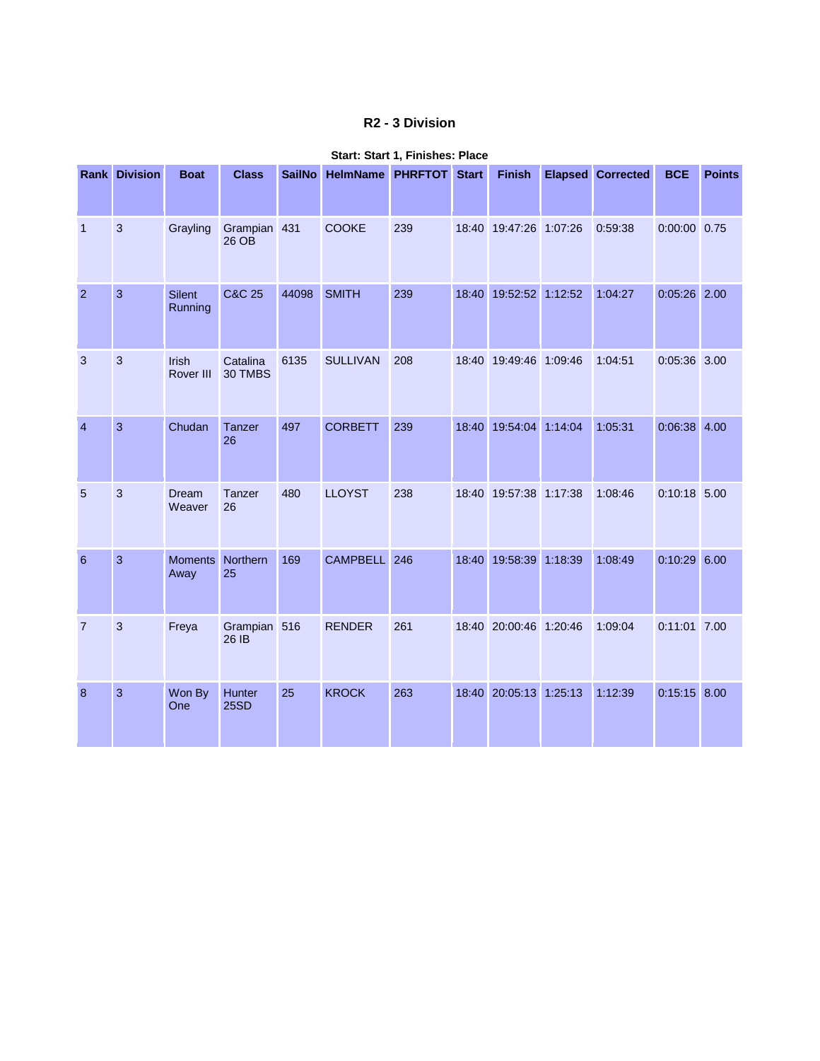## **R2 - 3 Division**

|                 | <b>Rank Division</b> | <b>Boat</b>               | <b>Class</b>          | <b>SailNo</b> | <b>HelmName PHRFTOT</b> |     | <b>Start</b> | <b>Finish</b>          |         | <b>Elapsed</b> Corrected | <b>BCE</b>     | <b>Points</b> |
|-----------------|----------------------|---------------------------|-----------------------|---------------|-------------------------|-----|--------------|------------------------|---------|--------------------------|----------------|---------------|
| $\mathbf{1}$    | 3                    | Grayling                  | Grampian 431<br>26 OB |               | <b>COOKE</b>            | 239 |              | 18:40 19:47:26 1:07:26 |         | 0:59:38                  | $0:00:00$ 0.75 |               |
| $\overline{2}$  | 3                    | <b>Silent</b><br>Running  | <b>C&amp;C 25</b>     | 44098         | <b>SMITH</b>            | 239 | 18:40        | 19:52:52 1:12:52       |         | 1:04:27                  | $0:05:26$ 2.00 |               |
| 3               | 3                    | <b>Irish</b><br>Rover III | Catalina<br>30 TMBS   | 6135          | <b>SULLIVAN</b>         | 208 |              | 18:40 19:49:46 1:09:46 |         | 1:04:51                  | 0:05:36 3.00   |               |
| $\overline{4}$  | 3                    | Chudan                    | Tanzer<br>26          | 497           | <b>CORBETT</b>          | 239 |              | 18:40 19:54:04 1:14:04 |         | 1:05:31                  | $0:06:38$ 4.00 |               |
| 5               | 3                    | <b>Dream</b><br>Weaver    | Tanzer<br>26          | 480           | <b>LLOYST</b>           | 238 |              | 18:40 19:57:38 1:17:38 |         | 1:08:46                  | 0:10:18 5.00   |               |
| $6\phantom{1}6$ | 3                    | <b>Moments</b><br>Away    | Northern<br>25        | 169           | CAMPBELL 246            |     | 18:40        | 19:58:39               | 1:18:39 | 1:08:49                  | $0:10:29$ 6.00 |               |
| $\overline{7}$  | 3                    | Freya                     | Grampian 516<br>26 IB |               | <b>RENDER</b>           | 261 |              | 18:40 20:00:46 1:20:46 |         | 1:09:04                  | 0:11:01 7.00   |               |
| 8               | 3                    | Won By<br>One             | Hunter<br>25SD        | 25            | <b>KROCK</b>            | 263 | 18:40        | 20:05:13               | 1:25:13 | 1:12:39                  | $0:15:15$ 8.00 |               |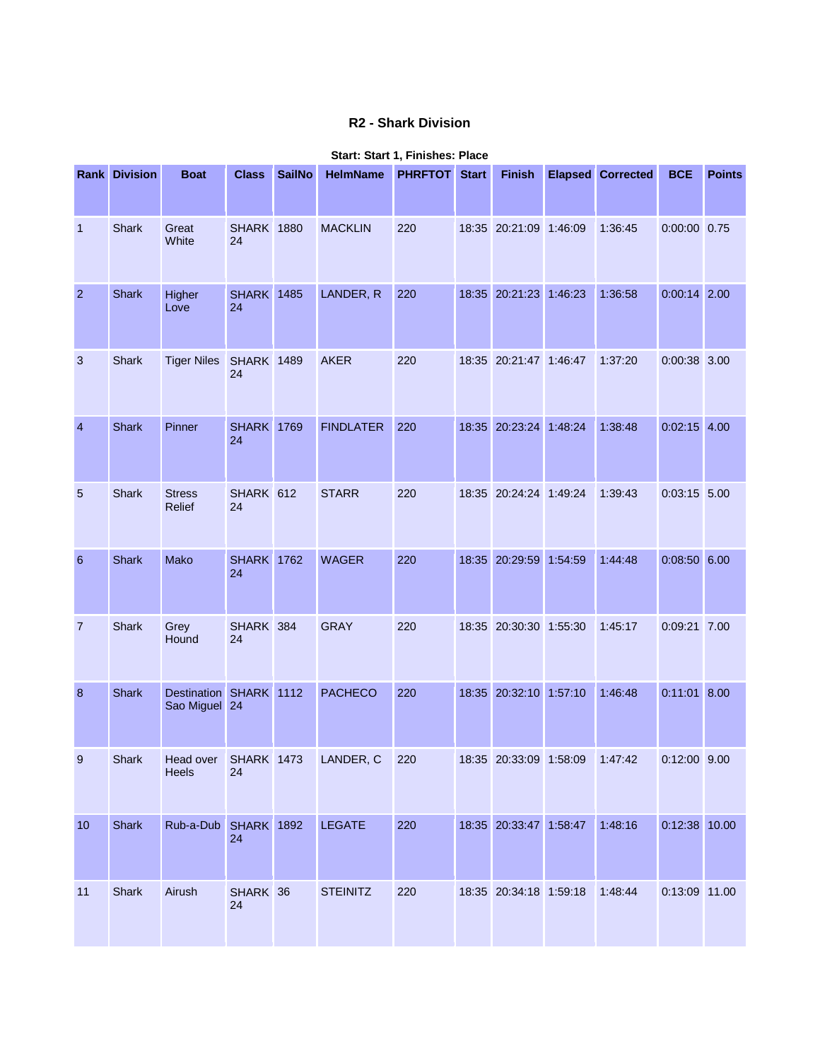## **R2 - Shark Division**

|                  | <b>Rank Division</b> | <b>Boat</b>                             | <b>Class</b>            | <b>SailNo</b> | <b>HelmName</b>  | <b>PHRFTOT Start</b> | <b>Finish</b>          | <b>Elapsed Corrected</b> | <b>BCE</b>     | <b>Points</b> |
|------------------|----------------------|-----------------------------------------|-------------------------|---------------|------------------|----------------------|------------------------|--------------------------|----------------|---------------|
| $\mathbf{1}$     | <b>Shark</b>         | Great<br>White                          | <b>SHARK 1880</b><br>24 |               | <b>MACKLIN</b>   | 220                  | 18:35 20:21:09 1:46:09 | 1:36:45                  | $0:00:00$ 0.75 |               |
| $\overline{2}$   | <b>Shark</b>         | Higher<br>Love                          | <b>SHARK</b> 1485<br>24 |               | LANDER, R        | 220                  | 18:35 20:21:23 1:46:23 | 1:36:58                  | $0:00:14$ 2.00 |               |
| 3                | Shark                | <b>Tiger Niles</b>                      | <b>SHARK 1489</b><br>24 |               | <b>AKER</b>      | 220                  | 18:35 20:21:47 1:46:47 | 1:37:20                  | $0:00:38$ 3.00 |               |
| $\overline{4}$   | <b>Shark</b>         | Pinner                                  | <b>SHARK 1769</b><br>24 |               | <b>FINDLATER</b> | 220                  | 18:35 20:23:24 1:48:24 | 1:38:48                  | $0:02:15$ 4.00 |               |
| $\overline{5}$   | <b>Shark</b>         | <b>Stress</b><br>Relief                 | SHARK 612<br>24         |               | <b>STARR</b>     | 220                  | 18:35 20:24:24 1:49:24 | 1:39:43                  | $0:03:15$ 5.00 |               |
| $\boldsymbol{6}$ | <b>Shark</b>         | Mako                                    | <b>SHARK</b> 1762<br>24 |               | <b>WAGER</b>     | 220                  | 18:35 20:29:59 1:54:59 | 1:44:48                  | $0:08:50$ 6.00 |               |
| $\overline{7}$   | <b>Shark</b>         | Grey<br>Hound                           | SHARK 384<br>24         |               | <b>GRAY</b>      | 220                  | 18:35 20:30:30 1:55:30 | 1:45:17                  | 0:09:21 7.00   |               |
| 8                | <b>Shark</b>         | Destination SHARK 1112<br>Sao Miguel 24 |                         |               | <b>PACHECO</b>   | 220                  | 18:35 20:32:10 1:57:10 | 1:46:48                  | $0:11:01$ 8.00 |               |
| 9                | <b>Shark</b>         | Head over SHARK 1473<br>Heels           | 24                      |               | LANDER, C        | 220                  | 18:35 20:33:09 1:58:09 | 1:47:42                  | $0:12:00$ 9.00 |               |
| 10               | <b>Shark</b>         | Rub-a-Dub SHARK 1892                    | 24                      |               | <b>LEGATE</b>    | 220                  | 18:35 20:33:47 1:58:47 | 1:48:16                  | 0:12:38 10.00  |               |
| 11               | Shark                | Airush                                  | SHARK 36<br>24          |               | <b>STEINITZ</b>  | 220                  | 18:35 20:34:18 1:59:18 | 1:48:44                  | 0:13:09 11.00  |               |